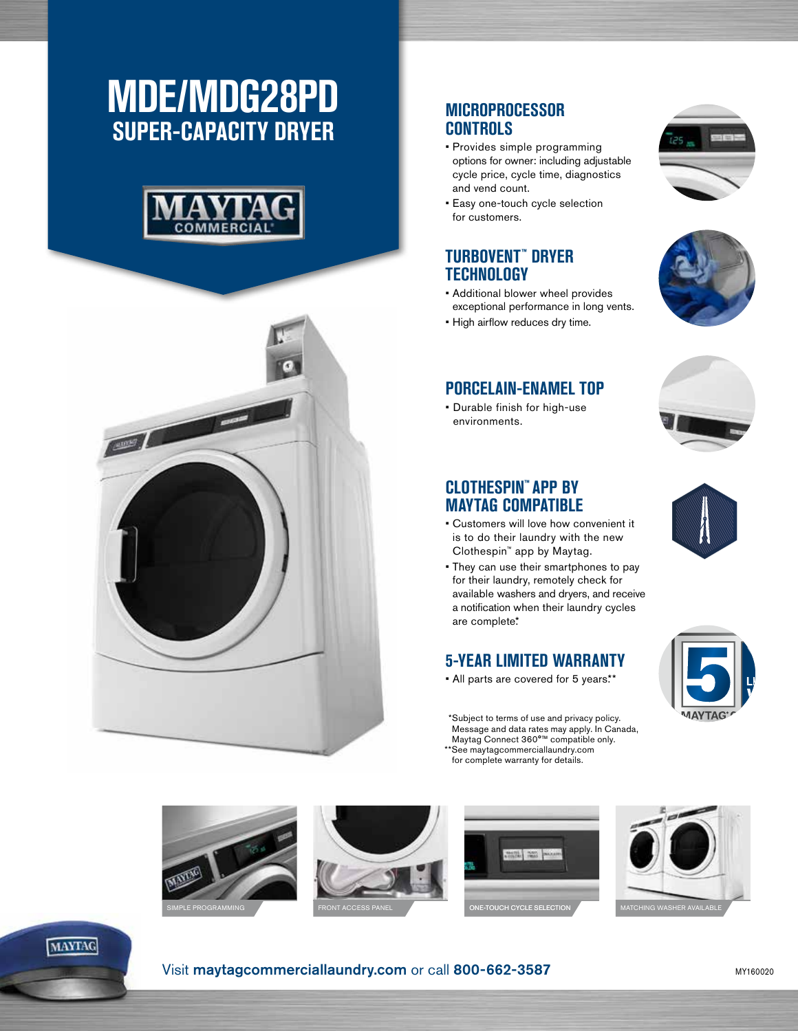# **MDE/MDG28PD SUPER-CAPACITY DRYER**





# **MICROPROCESSOR CONTROLS**

- Provides simple programming options for owner: including adjustable cycle price, cycle time, diagnostics and vend count.
- Easy one-touch cycle selection for customers.

### **TURBOVENT™ DRYER TECHNOLOGY**

- Additional blower wheel provides exceptional performance in long vents.
- High airflow reduces dry time.



• Durable finish for high-use environments.





### **CLOTHESPIN™ APP BY MAYTAG COMPATIBLE**

- Customers will love how convenient it is to do their laundry with the new Clothespin™ app by Maytag.
- They can use their smartphones to pay for their laundry, remotely check for available washers and dryers, and receive a notification when their laundry cycles are complete\*

# **5-YEAR LIMITED WARRANTY**

• All parts are covered for 5 years.\*\*

 \*Subject to terms of use and privacy policy. Message and data rates may apply. In Canada, Maytag Connect 360°™ compatible only. \*\*See maytagcommerciallaundry.com for complete warranty for details.







#### Visit maytagcommerciallaundry.com or call 800-662-3587